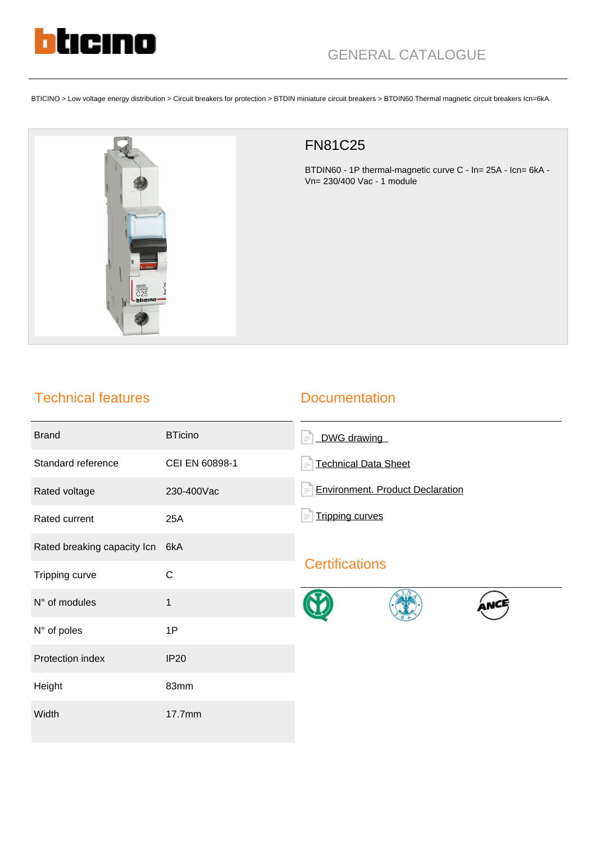

BTICINO > Low voltage energy distribution > Circuit breakers for protection > BTDIN miniature circuit breakers > BTDIN60 Thermal magnetic circuit breakers Icn=6kA



## FN81C25

BTDIN60 - 1P thermal-magnetic curve C - In= 25A - Icn= 6kA - Vn= 230/400 Vac - 1 module

## Technical features

## **Documentation**

| <b>Brand</b>                | <b>BTicino</b> | DWG drawing<br>$\equiv$                             |
|-----------------------------|----------------|-----------------------------------------------------|
| Standard reference          | CEI EN 60898-1 | <b>Technical Data Sheet</b><br>$=$                  |
| Rated voltage               | 230-400Vac     | <b>Environment. Product Declaration</b><br>$\equiv$ |
| Rated current               | 25A            | <b>Tripping curves</b><br>$\equiv$                  |
| Rated breaking capacity Icn | 6kA            |                                                     |
| Tripping curve              | $\mathsf C$    | <b>Certifications</b>                               |
| N° of modules               | 1              |                                                     |
| N° of poles                 | 1P             |                                                     |
| Protection index            | <b>IP20</b>    |                                                     |
| Height                      | 83mm           |                                                     |
| Width                       | 17.7mm         |                                                     |